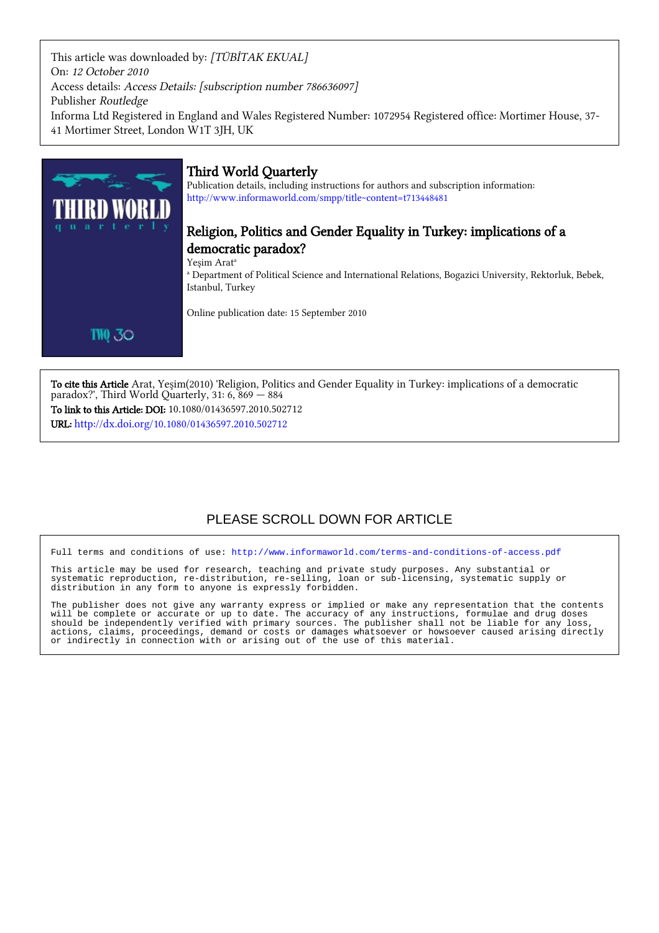This article was downloaded by: [TÜBİTAK EKUAL] On: 12 October 2010 Access details: Access Details: [subscription number 786636097] Publisher Routledge Informa Ltd Registered in England and Wales Registered Number: 1072954 Registered office: Mortimer House, 37- 41 Mortimer Street, London W1T 3JH, UK



## Third World Quarterly

Publication details, including instructions for authors and subscription information: <http://www.informaworld.com/smpp/title~content=t713448481>

## Religion, Politics and Gender Equality in Turkey: implications of a democratic paradox?

Yesim Arat<sup>a</sup>

a Department of Political Science and International Relations, Bogazici University, Rektorluk, Bebek, Istanbul, Turkey

Online publication date: 15 September 2010

To cite this Article Arat, Yeşim(2010) 'Religion, Politics and Gender Equality in Turkey: implications of a democratic paradox?', Third World Quarterly, 31: 6, 869 — 884 To link to this Article: DOI: 10.1080/01436597.2010.502712 URL: <http://dx.doi.org/10.1080/01436597.2010.502712>

## PLEASE SCROLL DOWN FOR ARTICLE

Full terms and conditions of use:<http://www.informaworld.com/terms-and-conditions-of-access.pdf>

This article may be used for research, teaching and private study purposes. Any substantial or systematic reproduction, re-distribution, re-selling, loan or sub-licensing, systematic supply or distribution in any form to anyone is expressly forbidden.

The publisher does not give any warranty express or implied or make any representation that the contents will be complete or accurate or up to date. The accuracy of any instructions, formulae and drug doses should be independently verified with primary sources. The publisher shall not be liable for any loss, actions, claims, proceedings, demand or costs or damages whatsoever or howsoever caused arising directly or indirectly in connection with or arising out of the use of this material.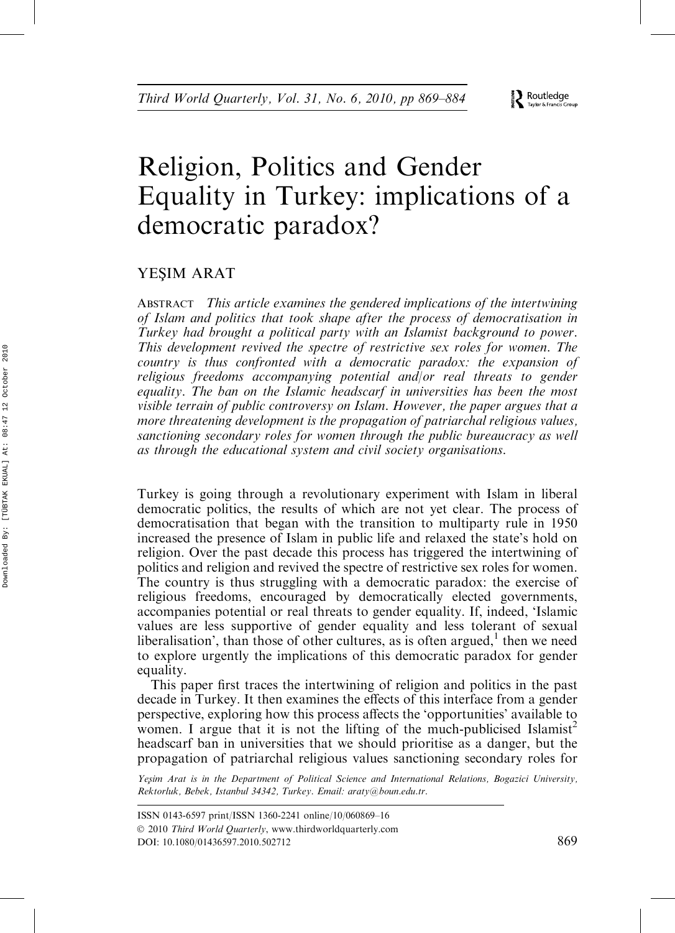# Religion, Politics and Gender Equality in Turkey: implications of a democratic paradox?

### YEŞIM ARAT

ABSTRACT This article examines the gendered implications of the intertwining of Islam and politics that took shape after the process of democratisation in Turkey had brought a political party with an Islamist background to power. This development revived the spectre of restrictive sex roles for women. The country is thus confronted with a democratic paradox: the expansion of religious freedoms accompanying potential and/or real threats to gender equality. The ban on the Islamic headscarf in universities has been the most visible terrain of public controversy on Islam. However, the paper argues that a more threatening development is the propagation of patriarchal religious values, sanctioning secondary roles for women through the public bureaucracy as well as through the educational system and civil society organisations.

Turkey is going through a revolutionary experiment with Islam in liberal democratic politics, the results of which are not yet clear. The process of democratisation that began with the transition to multiparty rule in 1950 increased the presence of Islam in public life and relaxed the state's hold on religion. Over the past decade this process has triggered the intertwining of politics and religion and revived the spectre of restrictive sex roles for women. The country is thus struggling with a democratic paradox: the exercise of religious freedoms, encouraged by democratically elected governments, accompanies potential or real threats to gender equality. If, indeed, 'Islamic values are less supportive of gender equality and less tolerant of sexual liberalisation', than those of other cultures, as is often argued,<sup>1</sup> then we need to explore urgently the implications of this democratic paradox for gender equality.

This paper first traces the intertwining of religion and politics in the past decade in Turkey. It then examines the effects of this interface from a gender perspective, exploring how this process affects the 'opportunities' available to women. I argue that it is not the lifting of the much-publicised Islamist<sup>2</sup> headscarf ban in universities that we should prioritise as a danger, but the propagation of patriarchal religious values sanctioning secondary roles for

Yeşim Arat is in the Department of Political Science and International Relations, Bogazici University, Rektorluk, Bebek, Istanbul 34342, Turkey. Email: araty@boun.edu.tr.

ISSN 0143-6597 print/ISSN 1360-2241 online/10/060869–16 © 2010 Third World Quarterly, www.thirdworldquarterly.com DOI: 10.1080/01436597.2010.502712 869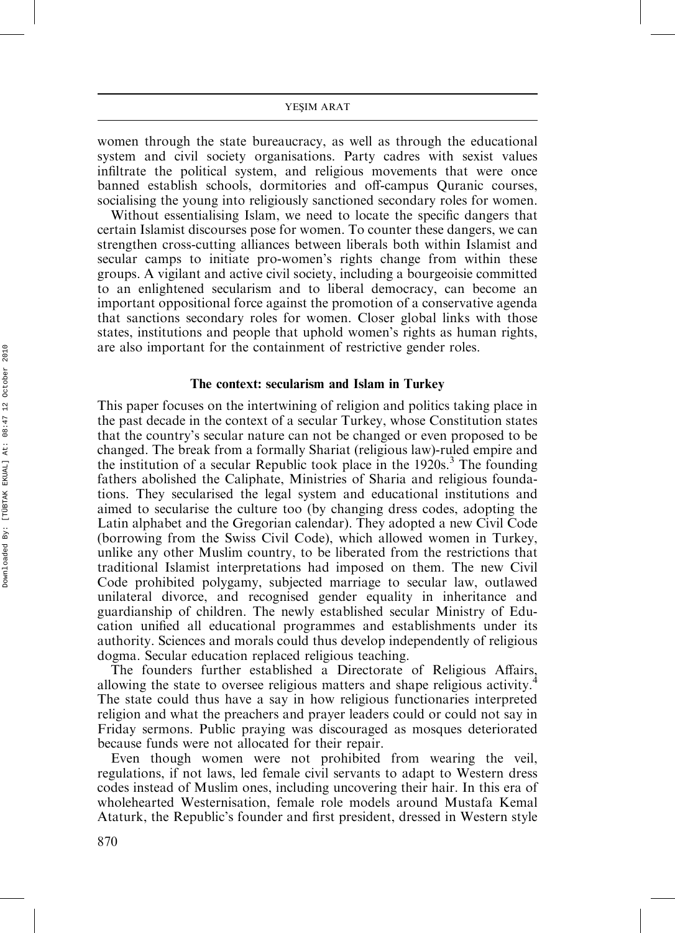women through the state bureaucracy, as well as through the educational system and civil society organisations. Party cadres with sexist values infiltrate the political system, and religious movements that were once banned establish schools, dormitories and off-campus Quranic courses, socialising the young into religiously sanctioned secondary roles for women.

Without essentialising Islam, we need to locate the specific dangers that certain Islamist discourses pose for women. To counter these dangers, we can strengthen cross-cutting alliances between liberals both within Islamist and secular camps to initiate pro-women's rights change from within these groups. A vigilant and active civil society, including a bourgeoisie committed to an enlightened secularism and to liberal democracy, can become an important oppositional force against the promotion of a conservative agenda that sanctions secondary roles for women. Closer global links with those states, institutions and people that uphold women's rights as human rights, are also important for the containment of restrictive gender roles.

#### The context: secularism and Islam in Turkey

This paper focuses on the intertwining of religion and politics taking place in the past decade in the context of a secular Turkey, whose Constitution states that the country's secular nature can not be changed or even proposed to be changed. The break from a formally Shariat (religious law)-ruled empire and the institution of a secular Republic took place in the  $1920s$ .<sup>3</sup> The founding fathers abolished the Caliphate, Ministries of Sharia and religious foundations. They secularised the legal system and educational institutions and aimed to secularise the culture too (by changing dress codes, adopting the Latin alphabet and the Gregorian calendar). They adopted a new Civil Code (borrowing from the Swiss Civil Code), which allowed women in Turkey, unlike any other Muslim country, to be liberated from the restrictions that traditional Islamist interpretations had imposed on them. The new Civil Code prohibited polygamy, subjected marriage to secular law, outlawed unilateral divorce, and recognised gender equality in inheritance and guardianship of children. The newly established secular Ministry of Education unified all educational programmes and establishments under its authority. Sciences and morals could thus develop independently of religious dogma. Secular education replaced religious teaching.

The founders further established a Directorate of Religious Affairs, allowing the state to oversee religious matters and shape religious activity.4 The state could thus have a say in how religious functionaries interpreted religion and what the preachers and prayer leaders could or could not say in Friday sermons. Public praying was discouraged as mosques deteriorated because funds were not allocated for their repair.

Even though women were not prohibited from wearing the veil, regulations, if not laws, led female civil servants to adapt to Western dress codes instead of Muslim ones, including uncovering their hair. In this era of wholehearted Westernisation, female role models around Mustafa Kemal Ataturk, the Republic's founder and first president, dressed in Western style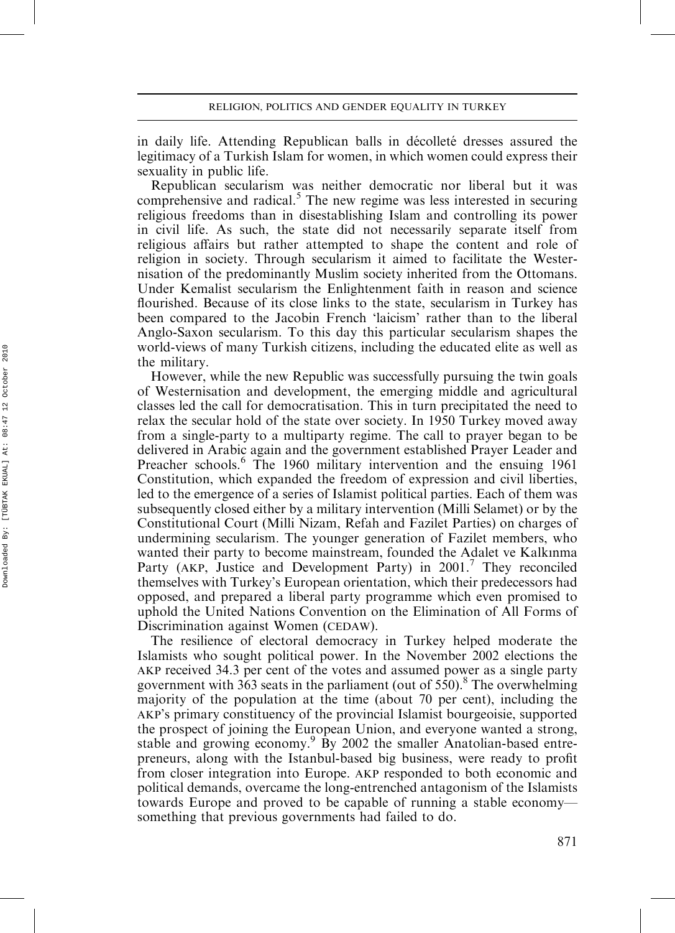in daily life. Attending Republican balls in décolleté dresses assured the legitimacy of a Turkish Islam for women, in which women could express their sexuality in public life.

Republican secularism was neither democratic nor liberal but it was comprehensive and radical. <sup>5</sup> The new regime was less interested in securing religious freedoms than in disestablishing Islam and controlling its power in civil life. As such, the state did not necessarily separate itself from religious affairs but rather attempted to shape the content and role of religion in society. Through secularism it aimed to facilitate the Westernisation of the predominantly Muslim society inherited from the Ottomans. Under Kemalist secularism the Enlightenment faith in reason and science flourished. Because of its close links to the state, secularism in Turkey has been compared to the Jacobin French 'laicism' rather than to the liberal Anglo-Saxon secularism. To this day this particular secularism shapes the world-views of many Turkish citizens, including the educated elite as well as the military.

However, while the new Republic was successfully pursuing the twin goals of Westernisation and development, the emerging middle and agricultural classes led the call for democratisation. This in turn precipitated the need to relax the secular hold of the state over society. In 1950 Turkey moved away from a single-party to a multiparty regime. The call to prayer began to be delivered in Arabic again and the government established Prayer Leader and Preacher schools.<sup>6</sup> The 1960 military intervention and the ensuing 1961 Constitution, which expanded the freedom of expression and civil liberties, led to the emergence of a series of Islamist political parties. Each of them was subsequently closed either by a military intervention (Milli Selamet) or by the Constitutional Court (Milli Nizam, Refah and Fazilet Parties) on charges of undermining secularism. The younger generation of Fazilet members, who wanted their party to become mainstream, founded the Adalet ve Kalkınma Party (AKP, Justice and Development Party) in 2001.<sup>7</sup> They reconciled themselves with Turkey's European orientation, which their predecessors had opposed, and prepared a liberal party programme which even promised to uphold the United Nations Convention on the Elimination of All Forms of Discrimination against Women (CEDAW).

The resilience of electoral democracy in Turkey helped moderate the Islamists who sought political power. In the November 2002 elections the AKP received 34.3 per cent of the votes and assumed power as a single party government with  $363$  seats in the parliament (out of  $550$ ).<sup>8</sup> The overwhelming majority of the population at the time (about 70 per cent), including the AKP's primary constituency of the provincial Islamist bourgeoisie, supported the prospect of joining the European Union, and everyone wanted a strong, stable and growing economy.<sup>9</sup> By 2002 the smaller Anatolian-based entrepreneurs, along with the Istanbul-based big business, were ready to profit from closer integration into Europe. AKP responded to both economic and political demands, overcame the long-entrenched antagonism of the Islamists towards Europe and proved to be capable of running a stable economy something that previous governments had failed to do.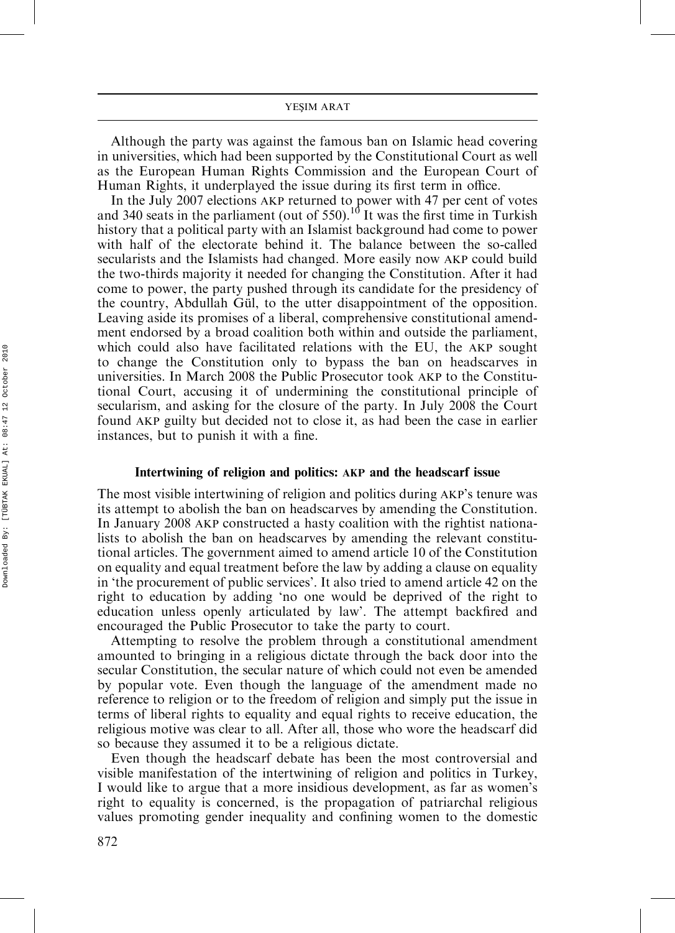Although the party was against the famous ban on Islamic head covering in universities, which had been supported by the Constitutional Court as well as the European Human Rights Commission and the European Court of Human Rights, it underplayed the issue during its first term in office.

In the July 2007 elections AKP returned to power with 47 per cent of votes and 340 seats in the parliament (out of 550).<sup>10</sup> It was the first time in Turkish history that a political party with an Islamist background had come to power with half of the electorate behind it. The balance between the so-called secularists and the Islamists had changed. More easily now AKP could build the two-thirds majority it needed for changing the Constitution. After it had come to power, the party pushed through its candidate for the presidency of the country, Abdullah Gül, to the utter disappointment of the opposition. Leaving aside its promises of a liberal, comprehensive constitutional amendment endorsed by a broad coalition both within and outside the parliament, which could also have facilitated relations with the EU, the AKP sought to change the Constitution only to bypass the ban on headscarves in universities. In March 2008 the Public Prosecutor took AKP to the Constitutional Court, accusing it of undermining the constitutional principle of secularism, and asking for the closure of the party. In July 2008 the Court found AKP guilty but decided not to close it, as had been the case in earlier instances, but to punish it with a fine.

#### Intertwining of religion and politics: AKP and the headscarf issue

The most visible intertwining of religion and politics during AKP's tenure was its attempt to abolish the ban on headscarves by amending the Constitution. In January 2008 AKP constructed a hasty coalition with the rightist nationalists to abolish the ban on headscarves by amending the relevant constitutional articles. The government aimed to amend article 10 of the Constitution on equality and equal treatment before the law by adding a clause on equality in 'the procurement of public services'. It also tried to amend article 42 on the right to education by adding 'no one would be deprived of the right to education unless openly articulated by law'. The attempt backfired and encouraged the Public Prosecutor to take the party to court.

Attempting to resolve the problem through a constitutional amendment amounted to bringing in a religious dictate through the back door into the secular Constitution, the secular nature of which could not even be amended by popular vote. Even though the language of the amendment made no reference to religion or to the freedom of religion and simply put the issue in terms of liberal rights to equality and equal rights to receive education, the religious motive was clear to all. After all, those who wore the headscarf did so because they assumed it to be a religious dictate.

Even though the headscarf debate has been the most controversial and visible manifestation of the intertwining of religion and politics in Turkey, I would like to argue that a more insidious development, as far as women's right to equality is concerned, is the propagation of patriarchal religious values promoting gender inequality and confining women to the domestic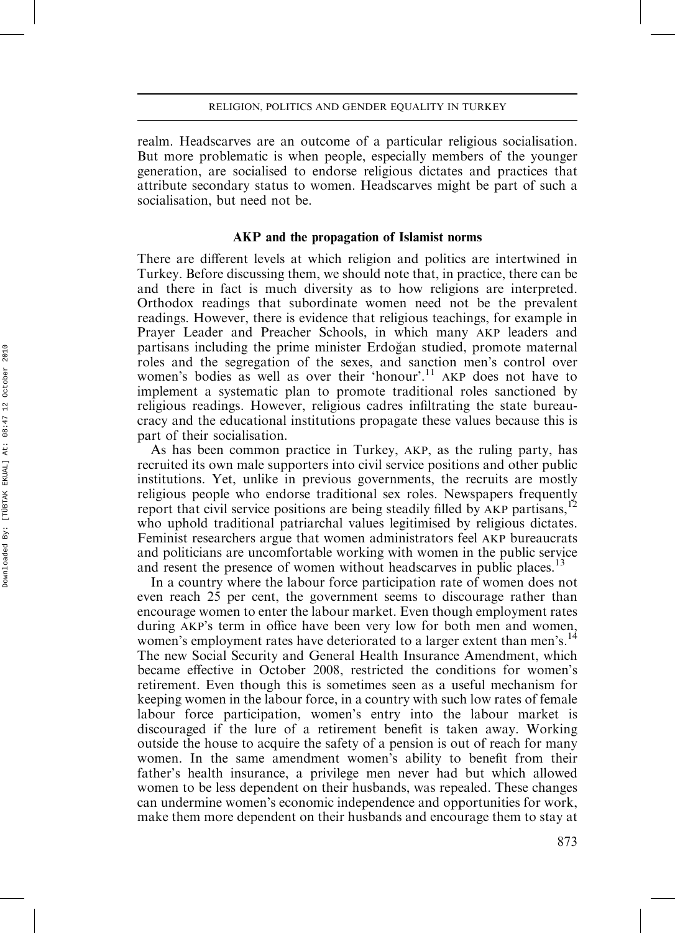realm. Headscarves are an outcome of a particular religious socialisation. But more problematic is when people, especially members of the younger generation, are socialised to endorse religious dictates and practices that attribute secondary status to women. Headscarves might be part of such a socialisation, but need not be.

#### AKP and the propagation of Islamist norms

There are different levels at which religion and politics are intertwined in Turkey. Before discussing them, we should note that, in practice, there can be and there in fact is much diversity as to how religions are interpreted. Orthodox readings that subordinate women need not be the prevalent readings. However, there is evidence that religious teachings, for example in Prayer Leader and Preacher Schools, in which many AKP leaders and partisans including the prime minister Erdoğan studied, promote maternal roles and the segregation of the sexes, and sanction men's control over women's bodies as well as over their 'honour'.<sup>11</sup> AKP does not have to implement a systematic plan to promote traditional roles sanctioned by religious readings. However, religious cadres infiltrating the state bureaucracy and the educational institutions propagate these values because this is part of their socialisation.

As has been common practice in Turkey, AKP, as the ruling party, has recruited its own male supporters into civil service positions and other public institutions. Yet, unlike in previous governments, the recruits are mostly religious people who endorse traditional sex roles. Newspapers frequently report that civil service positions are being steadily filled by  $AKP$  partisans,<sup>12</sup> who uphold traditional patriarchal values legitimised by religious dictates. Feminist researchers argue that women administrators feel AKP bureaucrats and politicians are uncomfortable working with women in the public service and resent the presence of women without headscarves in public places.<sup>13</sup>

In a country where the labour force participation rate of women does not even reach 25 per cent, the government seems to discourage rather than encourage women to enter the labour market. Even though employment rates during AKP's term in office have been very low for both men and women, women's employment rates have deteriorated to a larger extent than men's.<sup>14</sup> The new Social Security and General Health Insurance Amendment, which became effective in October 2008, restricted the conditions for women's retirement. Even though this is sometimes seen as a useful mechanism for keeping women in the labour force, in a country with such low rates of female labour force participation, women's entry into the labour market is discouraged if the lure of a retirement benefit is taken away. Working outside the house to acquire the safety of a pension is out of reach for many women. In the same amendment women's ability to benefit from their father's health insurance, a privilege men never had but which allowed women to be less dependent on their husbands, was repealed. These changes can undermine women's economic independence and opportunities for work, make them more dependent on their husbands and encourage them to stay at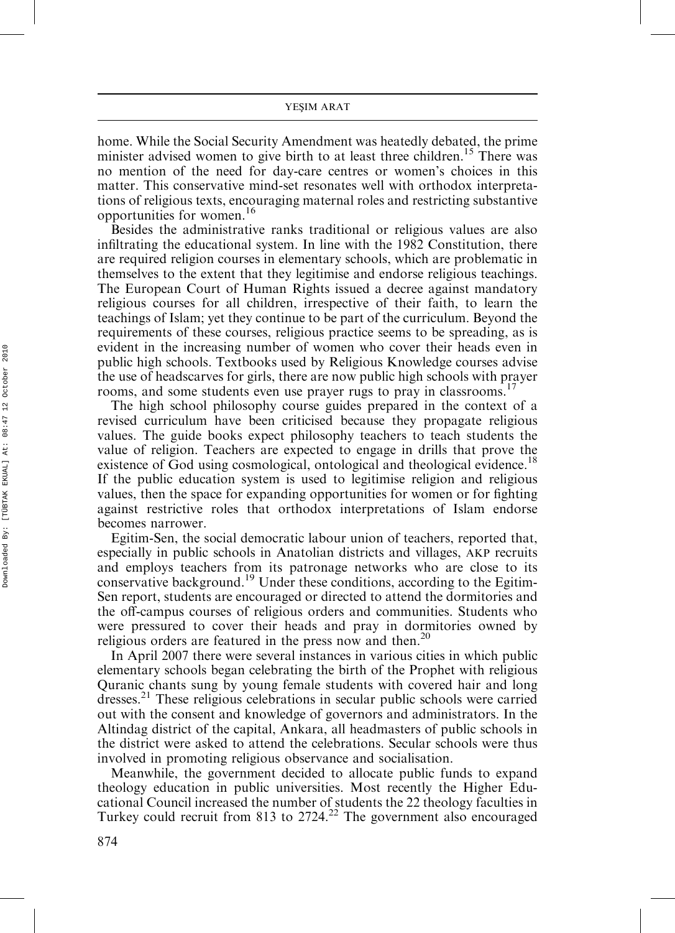home. While the Social Security Amendment was heatedly debated, the prime minister advised women to give birth to at least three children.<sup>15</sup> There was no mention of the need for day-care centres or women's choices in this matter. This conservative mind-set resonates well with orthodox interpretations of religious texts, encouraging maternal roles and restricting substantive opportunities for women.<sup>16</sup>

Besides the administrative ranks traditional or religious values are also infiltrating the educational system. In line with the 1982 Constitution, there are required religion courses in elementary schools, which are problematic in themselves to the extent that they legitimise and endorse religious teachings. The European Court of Human Rights issued a decree against mandatory religious courses for all children, irrespective of their faith, to learn the teachings of Islam; yet they continue to be part of the curriculum. Beyond the requirements of these courses, religious practice seems to be spreading, as is evident in the increasing number of women who cover their heads even in public high schools. Textbooks used by Religious Knowledge courses advise the use of headscarves for girls, there are now public high schools with prayer rooms, and some students even use prayer rugs to pray in classrooms.

The high school philosophy course guides prepared in the context of a revised curriculum have been criticised because they propagate religious values. The guide books expect philosophy teachers to teach students the value of religion. Teachers are expected to engage in drills that prove the existence of God using cosmological, ontological and theological evidence.<sup>18</sup> If the public education system is used to legitimise religion and religious values, then the space for expanding opportunities for women or for fighting against restrictive roles that orthodox interpretations of Islam endorse becomes narrower.

Egitim-Sen, the social democratic labour union of teachers, reported that, especially in public schools in Anatolian districts and villages, AKP recruits and employs teachers from its patronage networks who are close to its conservative background.19 Under these conditions, according to the Egitim-Sen report, students are encouraged or directed to attend the dormitories and the off-campus courses of religious orders and communities. Students who were pressured to cover their heads and pray in dormitories owned by religious orders are featured in the press now and then.<sup>20</sup>

In April 2007 there were several instances in various cities in which public elementary schools began celebrating the birth of the Prophet with religious Quranic chants sung by young female students with covered hair and long dresses.21 These religious celebrations in secular public schools were carried out with the consent and knowledge of governors and administrators. In the Altindag district of the capital, Ankara, all headmasters of public schools in the district were asked to attend the celebrations. Secular schools were thus involved in promoting religious observance and socialisation.

Meanwhile, the government decided to allocate public funds to expand theology education in public universities. Most recently the Higher Educational Council increased the number of students the 22 theology faculties in Turkey could recruit from 813 to  $2724<sup>22</sup>$  The government also encouraged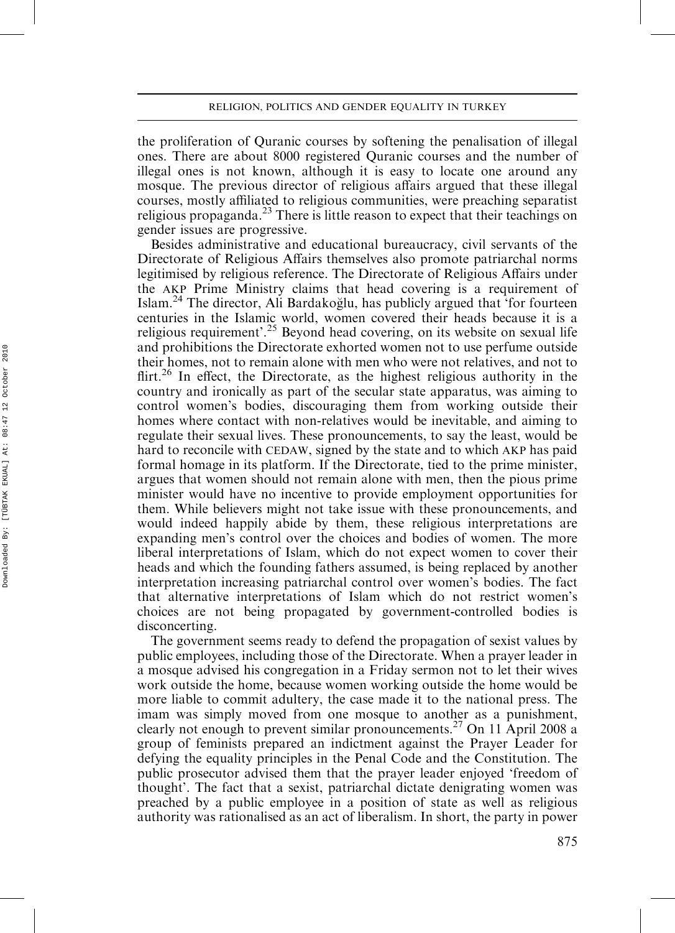the proliferation of Quranic courses by softening the penalisation of illegal ones. There are about 8000 registered Quranic courses and the number of illegal ones is not known, although it is easy to locate one around any mosque. The previous director of religious affairs argued that these illegal courses, mostly affiliated to religious communities, were preaching separatist religious propaganda.<sup>23</sup> There is little reason to expect that their teachings on gender issues are progressive.

Besides administrative and educational bureaucracy, civil servants of the Directorate of Religious Affairs themselves also promote patriarchal norms legitimised by religious reference. The Directorate of Religious Affairs under the AKP Prime Ministry claims that head covering is a requirement of Islam.<sup>24</sup> The director, Ali Bardakoğlu, has publicly argued that 'for fourteen centuries in the Islamic world, women covered their heads because it is a religious requirement'.<sup>25</sup> Beyond head covering, on its website on sexual life and prohibitions the Directorate exhorted women not to use perfume outside their homes, not to remain alone with men who were not relatives, and not to flirt.<sup>26</sup> In effect, the Directorate, as the highest religious authority in the country and ironically as part of the secular state apparatus, was aiming to control women's bodies, discouraging them from working outside their homes where contact with non-relatives would be inevitable, and aiming to regulate their sexual lives. These pronouncements, to say the least, would be hard to reconcile with CEDAW, signed by the state and to which AKP has paid formal homage in its platform. If the Directorate, tied to the prime minister, argues that women should not remain alone with men, then the pious prime minister would have no incentive to provide employment opportunities for them. While believers might not take issue with these pronouncements, and would indeed happily abide by them, these religious interpretations are expanding men's control over the choices and bodies of women. The more liberal interpretations of Islam, which do not expect women to cover their heads and which the founding fathers assumed, is being replaced by another interpretation increasing patriarchal control over women's bodies. The fact that alternative interpretations of Islam which do not restrict women's choices are not being propagated by government-controlled bodies is disconcerting.

The government seems ready to defend the propagation of sexist values by public employees, including those of the Directorate. When a prayer leader in a mosque advised his congregation in a Friday sermon not to let their wives work outside the home, because women working outside the home would be more liable to commit adultery, the case made it to the national press. The imam was simply moved from one mosque to another as a punishment, clearly not enough to prevent similar pronouncements.<sup>27</sup> On 11 April 2008 a group of feminists prepared an indictment against the Prayer Leader for defying the equality principles in the Penal Code and the Constitution. The public prosecutor advised them that the prayer leader enjoyed 'freedom of thought'. The fact that a sexist, patriarchal dictate denigrating women was preached by a public employee in a position of state as well as religious authority was rationalised as an act of liberalism. In short, the party in power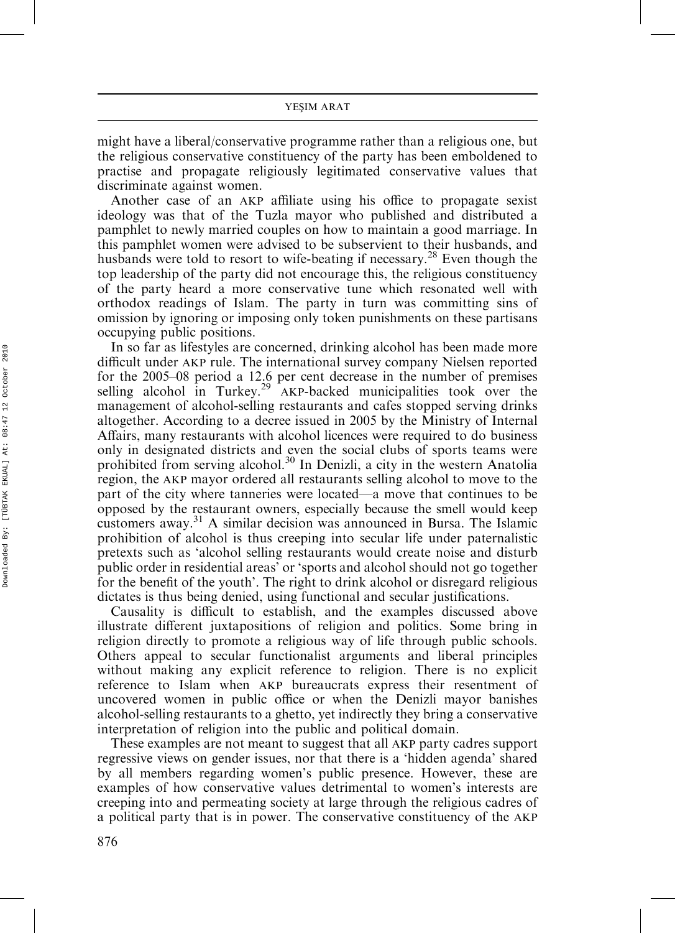might have a liberal/conservative programme rather than a religious one, but the religious conservative constituency of the party has been emboldened to practise and propagate religiously legitimated conservative values that discriminate against women.

Another case of an AKP affiliate using his office to propagate sexist ideology was that of the Tuzla mayor who published and distributed a pamphlet to newly married couples on how to maintain a good marriage. In this pamphlet women were advised to be subservient to their husbands, and husbands were told to resort to wife-beating if necessary.<sup>28</sup> Even though the top leadership of the party did not encourage this, the religious constituency of the party heard a more conservative tune which resonated well with orthodox readings of Islam. The party in turn was committing sins of omission by ignoring or imposing only token punishments on these partisans occupying public positions.

In so far as lifestyles are concerned, drinking alcohol has been made more difficult under AKP rule. The international survey company Nielsen reported for the 2005–08 period a 12.6 per cent decrease in the number of premises selling alcohol in Turkey.<sup>29</sup> AKP-backed municipalities took over the management of alcohol-selling restaurants and cafes stopped serving drinks altogether. According to a decree issued in 2005 by the Ministry of Internal Affairs, many restaurants with alcohol licences were required to do business only in designated districts and even the social clubs of sports teams were prohibited from serving alcohol.<sup>30</sup> In Denizli, a city in the western Anatolia region, the AKP mayor ordered all restaurants selling alcohol to move to the part of the city where tanneries were located—a move that continues to be opposed by the restaurant owners, especially because the smell would keep customers away.31 A similar decision was announced in Bursa. The Islamic prohibition of alcohol is thus creeping into secular life under paternalistic pretexts such as 'alcohol selling restaurants would create noise and disturb public order in residential areas' or 'sports and alcohol should not go together for the benefit of the youth'. The right to drink alcohol or disregard religious dictates is thus being denied, using functional and secular justifications.

Causality is difficult to establish, and the examples discussed above illustrate different juxtapositions of religion and politics. Some bring in religion directly to promote a religious way of life through public schools. Others appeal to secular functionalist arguments and liberal principles without making any explicit reference to religion. There is no explicit reference to Islam when AKP bureaucrats express their resentment of uncovered women in public office or when the Denizli mayor banishes alcohol-selling restaurants to a ghetto, yet indirectly they bring a conservative interpretation of religion into the public and political domain.

These examples are not meant to suggest that all AKP party cadres support regressive views on gender issues, nor that there is a 'hidden agenda' shared by all members regarding women's public presence. However, these are examples of how conservative values detrimental to women's interests are creeping into and permeating society at large through the religious cadres of a political party that is in power. The conservative constituency of the AKP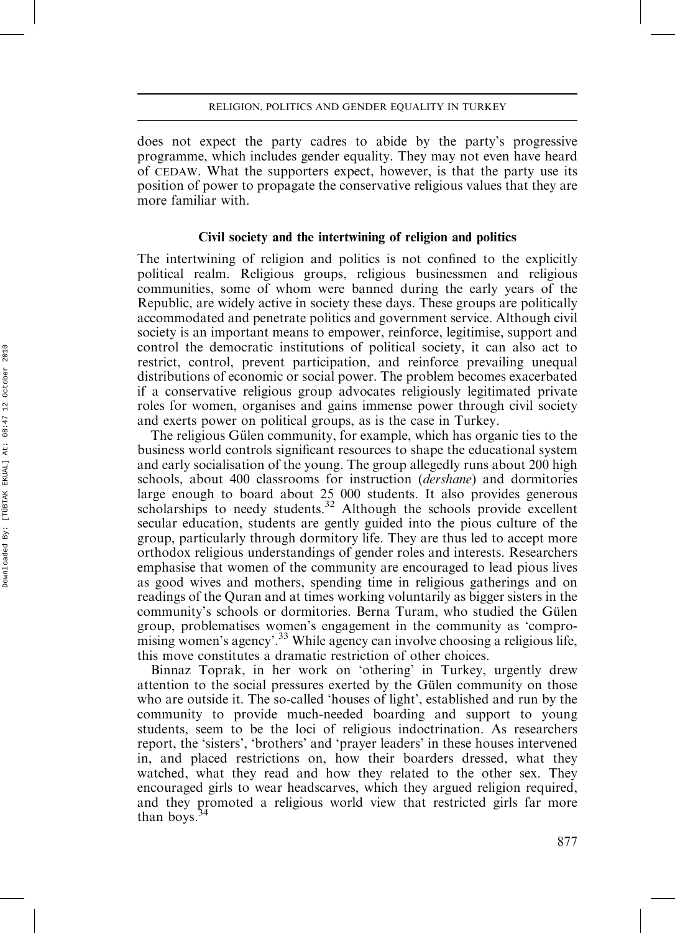does not expect the party cadres to abide by the party's progressive programme, which includes gender equality. They may not even have heard of CEDAW. What the supporters expect, however, is that the party use its position of power to propagate the conservative religious values that they are more familiar with.

#### Civil society and the intertwining of religion and politics

The intertwining of religion and politics is not confined to the explicitly political realm. Religious groups, religious businessmen and religious communities, some of whom were banned during the early years of the Republic, are widely active in society these days. These groups are politically accommodated and penetrate politics and government service. Although civil society is an important means to empower, reinforce, legitimise, support and control the democratic institutions of political society, it can also act to restrict, control, prevent participation, and reinforce prevailing unequal distributions of economic or social power. The problem becomes exacerbated if a conservative religious group advocates religiously legitimated private roles for women, organises and gains immense power through civil society and exerts power on political groups, as is the case in Turkey.

The religious Gülen community, for example, which has organic ties to the business world controls significant resources to shape the educational system and early socialisation of the young. The group allegedly runs about 200 high schools, about 400 classrooms for instruction (dershane) and dormitories large enough to board about 25 000 students. It also provides generous scholarships to needy students.<sup>32</sup> Although the schools provide excellent secular education, students are gently guided into the pious culture of the group, particularly through dormitory life. They are thus led to accept more orthodox religious understandings of gender roles and interests. Researchers emphasise that women of the community are encouraged to lead pious lives as good wives and mothers, spending time in religious gatherings and on readings of the Quran and at times working voluntarily as bigger sisters in the community's schools or dormitories. Berna Turam, who studied the Gülen group, problematises women's engagement in the community as 'compromising women's agency'.<sup>33</sup> While agency can involve choosing a religious life, this move constitutes a dramatic restriction of other choices.

Binnaz Toprak, in her work on 'othering' in Turkey, urgently drew attention to the social pressures exerted by the Gülen community on those who are outside it. The so-called 'houses of light', established and run by the community to provide much-needed boarding and support to young students, seem to be the loci of religious indoctrination. As researchers report, the 'sisters', 'brothers' and 'prayer leaders' in these houses intervened in, and placed restrictions on, how their boarders dressed, what they watched, what they read and how they related to the other sex. They encouraged girls to wear headscarves, which they argued religion required, and they promoted a religious world view that restricted girls far more than boys. $\frac{3}{4}$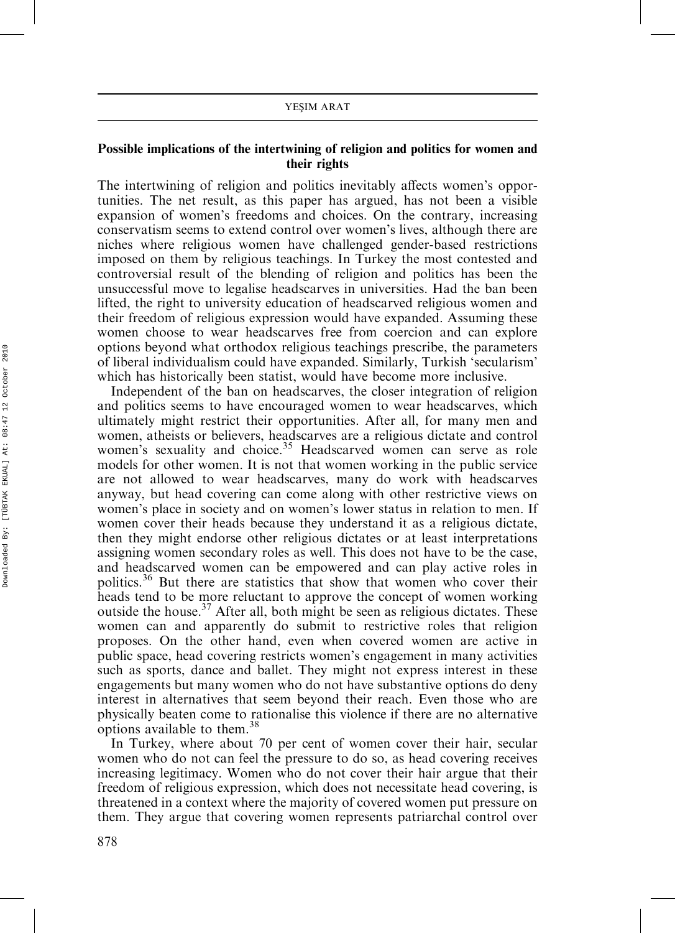#### Possible implications of the intertwining of religion and politics for women and their rights

The intertwining of religion and politics inevitably affects women's opportunities. The net result, as this paper has argued, has not been a visible expansion of women's freedoms and choices. On the contrary, increasing conservatism seems to extend control over women's lives, although there are niches where religious women have challenged gender-based restrictions imposed on them by religious teachings. In Turkey the most contested and controversial result of the blending of religion and politics has been the unsuccessful move to legalise headscarves in universities. Had the ban been lifted, the right to university education of headscarved religious women and their freedom of religious expression would have expanded. Assuming these women choose to wear headscarves free from coercion and can explore options beyond what orthodox religious teachings prescribe, the parameters of liberal individualism could have expanded. Similarly, Turkish 'secularism' which has historically been statist, would have become more inclusive.

Independent of the ban on headscarves, the closer integration of religion and politics seems to have encouraged women to wear headscarves, which ultimately might restrict their opportunities. After all, for many men and women, atheists or believers, headscarves are a religious dictate and control women's sexuality and choice.<sup>35</sup> Headscarved women can serve as role models for other women. It is not that women working in the public service are not allowed to wear headscarves, many do work with headscarves anyway, but head covering can come along with other restrictive views on women's place in society and on women's lower status in relation to men. If women cover their heads because they understand it as a religious dictate, then they might endorse other religious dictates or at least interpretations assigning women secondary roles as well. This does not have to be the case, and headscarved women can be empowered and can play active roles in politics.<sup>36</sup> But there are statistics that show that women who cover their heads tend to be more reluctant to approve the concept of women working outside the house.<sup>37</sup> After all, both might be seen as religious dictates. These women can and apparently do submit to restrictive roles that religion proposes. On the other hand, even when covered women are active in public space, head covering restricts women's engagement in many activities such as sports, dance and ballet. They might not express interest in these engagements but many women who do not have substantive options do deny interest in alternatives that seem beyond their reach. Even those who are physically beaten come to rationalise this violence if there are no alternative options available to them.38

In Turkey, where about 70 per cent of women cover their hair, secular women who do not can feel the pressure to do so, as head covering receives increasing legitimacy. Women who do not cover their hair argue that their freedom of religious expression, which does not necessitate head covering, is threatened in a context where the majority of covered women put pressure on them. They argue that covering women represents patriarchal control over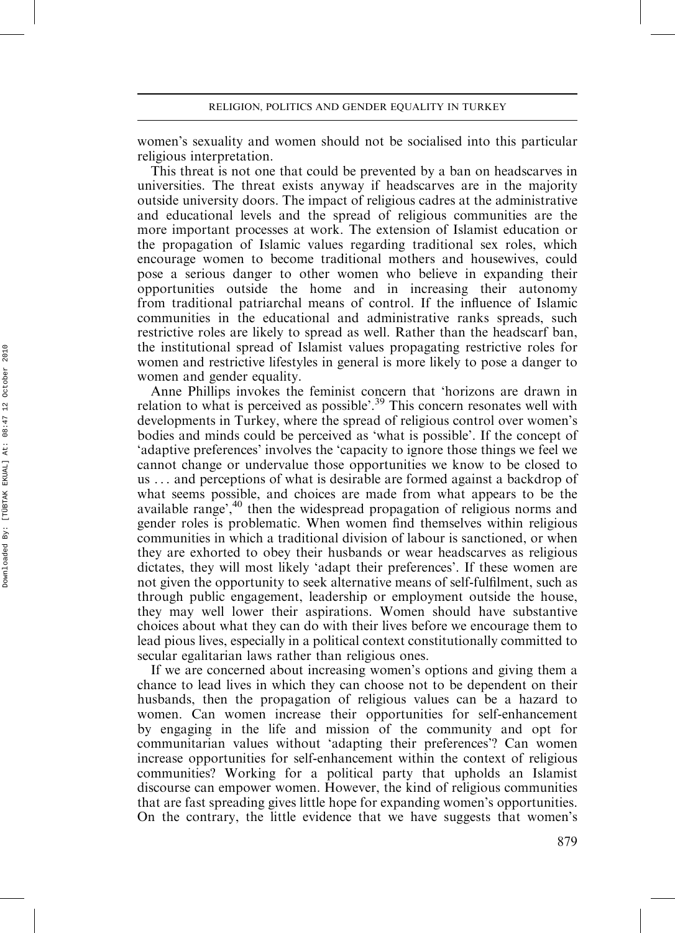women's sexuality and women should not be socialised into this particular religious interpretation.

This threat is not one that could be prevented by a ban on headscarves in universities. The threat exists anyway if headscarves are in the majority outside university doors. The impact of religious cadres at the administrative and educational levels and the spread of religious communities are the more important processes at work. The extension of Islamist education or the propagation of Islamic values regarding traditional sex roles, which encourage women to become traditional mothers and housewives, could pose a serious danger to other women who believe in expanding their opportunities outside the home and in increasing their autonomy from traditional patriarchal means of control. If the influence of Islamic communities in the educational and administrative ranks spreads, such restrictive roles are likely to spread as well. Rather than the headscarf ban, the institutional spread of Islamist values propagating restrictive roles for women and restrictive lifestyles in general is more likely to pose a danger to women and gender equality.

Anne Phillips invokes the feminist concern that 'horizons are drawn in relation to what is perceived as possible'.<sup>39</sup> This concern resonates well with developments in Turkey, where the spread of religious control over women's bodies and minds could be perceived as 'what is possible'. If the concept of 'adaptive preferences' involves the 'capacity to ignore those things we feel we cannot change or undervalue those opportunities we know to be closed to us . . . and perceptions of what is desirable are formed against a backdrop of what seems possible, and choices are made from what appears to be the available range', $40$  then the widespread propagation of religious norms and gender roles is problematic. When women find themselves within religious communities in which a traditional division of labour is sanctioned, or when they are exhorted to obey their husbands or wear headscarves as religious dictates, they will most likely 'adapt their preferences'. If these women are not given the opportunity to seek alternative means of self-fulfilment, such as through public engagement, leadership or employment outside the house, they may well lower their aspirations. Women should have substantive choices about what they can do with their lives before we encourage them to lead pious lives, especially in a political context constitutionally committed to secular egalitarian laws rather than religious ones.

If we are concerned about increasing women's options and giving them a chance to lead lives in which they can choose not to be dependent on their husbands, then the propagation of religious values can be a hazard to women. Can women increase their opportunities for self-enhancement by engaging in the life and mission of the community and opt for communitarian values without 'adapting their preferences'? Can women increase opportunities for self-enhancement within the context of religious communities? Working for a political party that upholds an Islamist discourse can empower women. However, the kind of religious communities that are fast spreading gives little hope for expanding women's opportunities. On the contrary, the little evidence that we have suggests that women's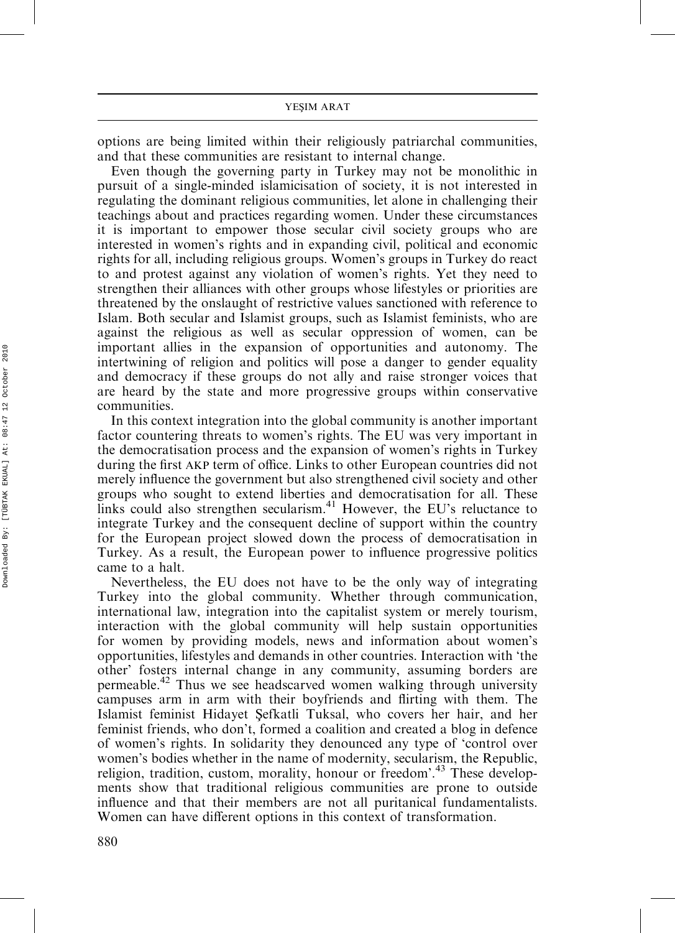options are being limited within their religiously patriarchal communities, and that these communities are resistant to internal change.

Even though the governing party in Turkey may not be monolithic in pursuit of a single-minded islamicisation of society, it is not interested in regulating the dominant religious communities, let alone in challenging their teachings about and practices regarding women. Under these circumstances it is important to empower those secular civil society groups who are interested in women's rights and in expanding civil, political and economic rights for all, including religious groups. Women's groups in Turkey do react to and protest against any violation of women's rights. Yet they need to strengthen their alliances with other groups whose lifestyles or priorities are threatened by the onslaught of restrictive values sanctioned with reference to Islam. Both secular and Islamist groups, such as Islamist feminists, who are against the religious as well as secular oppression of women, can be important allies in the expansion of opportunities and autonomy. The intertwining of religion and politics will pose a danger to gender equality and democracy if these groups do not ally and raise stronger voices that are heard by the state and more progressive groups within conservative communities.

In this context integration into the global community is another important factor countering threats to women's rights. The EU was very important in the democratisation process and the expansion of women's rights in Turkey during the first AKP term of office. Links to other European countries did not merely influence the government but also strengthened civil society and other groups who sought to extend liberties and democratisation for all. These links could also strengthen secularism. $41$  However, the EU's reluctance to integrate Turkey and the consequent decline of support within the country for the European project slowed down the process of democratisation in Turkey. As a result, the European power to influence progressive politics came to a halt.

Nevertheless, the EU does not have to be the only way of integrating Turkey into the global community. Whether through communication, international law, integration into the capitalist system or merely tourism, interaction with the global community will help sustain opportunities for women by providing models, news and information about women's opportunities, lifestyles and demands in other countries. Interaction with 'the other' fosters internal change in any community, assuming borders are permeable.42 Thus we see headscarved women walking through university campuses arm in arm with their boyfriends and flirting with them. The Islamist feminist Hidayet Şefkatli Tuksal, who covers her hair, and her feminist friends, who don't, formed a coalition and created a blog in defence of women's rights. In solidarity they denounced any type of 'control over women's bodies whether in the name of modernity, secularism, the Republic, religion, tradition, custom, morality, honour or freedom<sup>'.43</sup> These developments show that traditional religious communities are prone to outside influence and that their members are not all puritanical fundamentalists. Women can have different options in this context of transformation.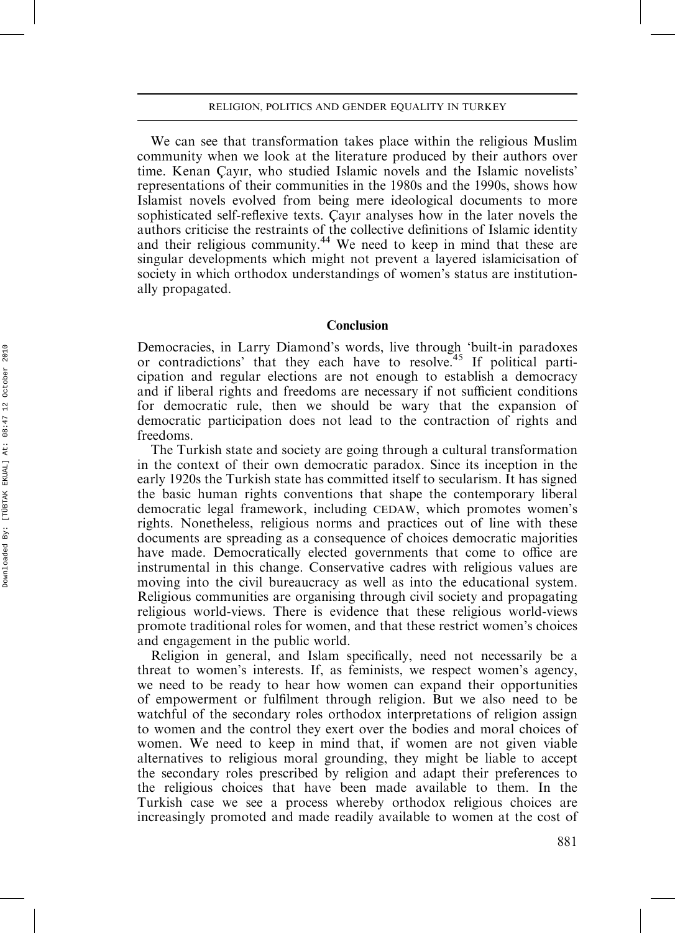We can see that transformation takes place within the religious Muslim community when we look at the literature produced by their authors over time. Kenan Çayır, who studied Islamic novels and the Islamic novelists' representations of their communities in the 1980s and the 1990s, shows how Islamist novels evolved from being mere ideological documents to more sophisticated self-reflexive texts. Cayir analyses how in the later novels the authors criticise the restraints of the collective definitions of Islamic identity and their religious community.<sup>44</sup> We need to keep in mind that these are singular developments which might not prevent a layered islamicisation of society in which orthodox understandings of women's status are institutionally propagated.

#### Conclusion

Democracies, in Larry Diamond's words, live through 'built-in paradoxes or contradictions' that they each have to resolve.<sup>45</sup> If political participation and regular elections are not enough to establish a democracy and if liberal rights and freedoms are necessary if not sufficient conditions for democratic rule, then we should be wary that the expansion of democratic participation does not lead to the contraction of rights and freedoms.

The Turkish state and society are going through a cultural transformation in the context of their own democratic paradox. Since its inception in the early 1920s the Turkish state has committed itself to secularism. It has signed the basic human rights conventions that shape the contemporary liberal democratic legal framework, including CEDAW, which promotes women's rights. Nonetheless, religious norms and practices out of line with these documents are spreading as a consequence of choices democratic majorities have made. Democratically elected governments that come to office are instrumental in this change. Conservative cadres with religious values are moving into the civil bureaucracy as well as into the educational system. Religious communities are organising through civil society and propagating religious world-views. There is evidence that these religious world-views promote traditional roles for women, and that these restrict women's choices and engagement in the public world.

Religion in general, and Islam specifically, need not necessarily be a threat to women's interests. If, as feminists, we respect women's agency, we need to be ready to hear how women can expand their opportunities of empowerment or fulfilment through religion. But we also need to be watchful of the secondary roles orthodox interpretations of religion assign to women and the control they exert over the bodies and moral choices of women. We need to keep in mind that, if women are not given viable alternatives to religious moral grounding, they might be liable to accept the secondary roles prescribed by religion and adapt their preferences to the religious choices that have been made available to them. In the Turkish case we see a process whereby orthodox religious choices are increasingly promoted and made readily available to women at the cost of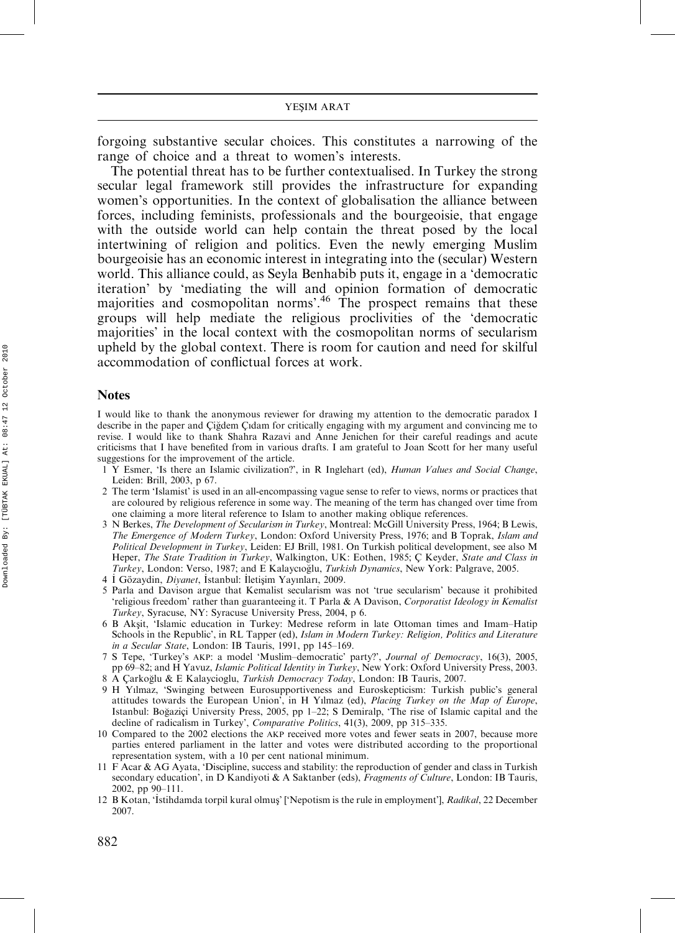forgoing substantive secular choices. This constitutes a narrowing of the range of choice and a threat to women's interests.

The potential threat has to be further contextualised. In Turkey the strong secular legal framework still provides the infrastructure for expanding women's opportunities. In the context of globalisation the alliance between forces, including feminists, professionals and the bourgeoisie, that engage with the outside world can help contain the threat posed by the local intertwining of religion and politics. Even the newly emerging Muslim bourgeoisie has an economic interest in integrating into the (secular) Western world. This alliance could, as Seyla Benhabib puts it, engage in a 'democratic iteration' by 'mediating the will and opinion formation of democratic majorities and cosmopolitan norms<sup>46</sup> The prospect remains that these groups will help mediate the religious proclivities of the 'democratic majorities' in the local context with the cosmopolitan norms of secularism upheld by the global context. There is room for caution and need for skilful accommodation of conflictual forces at work.

#### Notes

I would like to thank the anonymous reviewer for drawing my attention to the democratic paradox I describe in the paper and Çiğdem Çıdam for critically engaging with my argument and convincing me to revise. I would like to thank Shahra Razavi and Anne Jenichen for their careful readings and acute criticisms that I have benefited from in various drafts. I am grateful to Joan Scott for her many useful suggestions for the improvement of the article.

- 1 Y Esmer, 'Is there an Islamic civilization?', in R Inglehart (ed), Human Values and Social Change, Leiden: Brill, 2003, p 67.
- 2 The term 'Islamist' is used in an all-encompassing vague sense to refer to views, norms or practices that are coloured by religious reference in some way. The meaning of the term has changed over time from one claiming a more literal reference to Islam to another making oblique references.
- 3 N Berkes, The Development of Secularism in Turkey, Montreal: McGill University Press, 1964; B Lewis, The Emergence of Modern Turkey, London: Oxford University Press, 1976; and B Toprak, Islam and Political Development in Turkey, Leiden: EJ Brill, 1981. On Turkish political development, see also M Heper, The State Tradition in Turkey, Walkington, UK: Eothen, 1985; Ç Keyder, State and Class in Turkey, London: Verso, 1987; and E Kalaycıoğlu, Turkish Dynamics, New York: Palgrave, 2005.
- 4 İ Gözaydin, Diyanet, İstanbul: İletişim Yayınları, 2009.
- 5 Parla and Davison argue that Kemalist secularism was not 'true secularism' because it prohibited 'religious freedom' rather than guaranteeing it. T Parla & A Davison, Corporatist Ideology in Kemalist Turkey, Syracuse, NY: Syracuse University Press, 2004, p 6.
- 6 B Aksit, 'Islamic education in Turkey: Medrese reform in late Ottoman times and Imam–Hatip Schools in the Republic', in RL Tapper (ed), Islam in Modern Turkey: Religion, Politics and Literature in a Secular State, London: IB Tauris, 1991, pp 145–169.
- 7 S Tepe, 'Turkey's AKP: a model 'Muslim–democratic' party?', Journal of Democracy, 16(3), 2005, pp 69–82; and H Yavuz, Islamic Political Identity in Turkey, New York: Oxford University Press, 2003. 8 A Çarkoğlu & E Kalaycioglu, Turkish Democracy Today, London: IB Tauris, 2007.
- 9 H Yılmaz, 'Swinging between Eurosupportiveness and Euroskepticism: Turkish public's general attitudes towards the European Union<sup> $\hat{i}$ </sup>, in H Yılmaz (ed), *Placing Turkey on the Map of Europe*, Istanbul: Boğaziçi University Press, 2005, pp 1–22; S Demiralp, 'The rise of Islamic capital and the decline of radicalism in Turkey', *Comparative Politics*, 41(3), 2009, pp 315–335.
- 10 Compared to the 2002 elections the AKP received more votes and fewer seats in 2007, because more parties entered parliament in the latter and votes were distributed according to the proportional representation system, with a 10 per cent national minimum.
- 11 F Acar & AG Ayata, 'Discipline, success and stability: the reproduction of gender and class in Turkish secondary education', in D Kandiyoti & A Saktanber (eds), Fragments of Culture, London: IB Tauris, 2002, pp 90–111.
- 12 B Kotan, 'İstihdamda torpil kural olmuş' ['Nepotism is the rule in employment'], Radikal, 22 December 2007.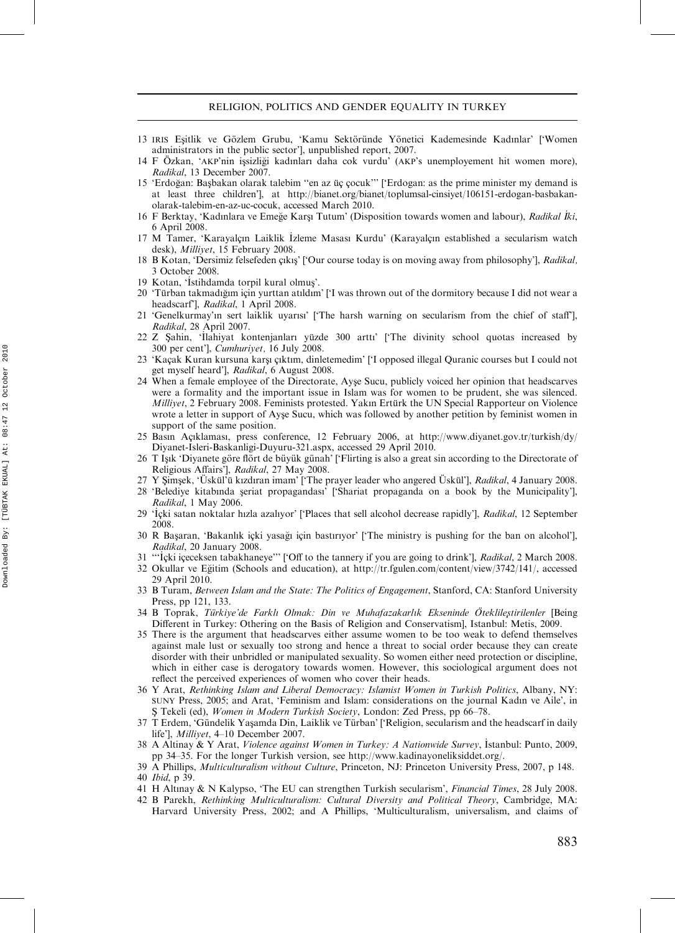#### RELIGION, POLITICS AND GENDER EQUALITY IN TURKEY

- 13 IRIS Eşitlik ve Gözlem Grubu, 'Kamu Sektöründe Yönetici Kademesinde Kadınlar' ['Women administrators in the public sector'], unpublished report, 2007.
- 14 F Özkan, 'AKP'nin işsizliği kadınları daha cok vurdu' (AKP's unemployement hit women more), Radikal, 13 December 2007.
- 15 'Erdoğan: Başbakan olarak talebim "en az üç çocuk"' ['Erdogan: as the prime minister my demand is at least three children'], at [http://bianet.org/bianet/toplumsal-cinsiyet/106151-erdogan-basbakan](http://bianet.org/bianet/toplumsal-cinsiyet/106151-erdogan-basbakan-olarak-talebim-en-az-uc-cocuk)[olarak-talebim-en-az-uc-cocuk](http://bianet.org/bianet/toplumsal-cinsiyet/106151-erdogan-basbakan-olarak-talebim-en-az-uc-cocuk), accessed March 2010.
- 16 F Berktay, 'Kadınlara ve Emeğe Karşı Tutum' (Disposition towards women and labour), Radikal İki, 6 April 2008.
- 17 M Tamer, 'Karayalçın Laiklik İzleme Masası Kurdu' (Karayalçın established a secularism watch desk), Milliyet, 15 February 2008.
- 18 B Kotan, 'Dersimiz felsefeden çıkış' ['Our course today is on moving away from philosophy'], Radikal, 3 October 2008.
- 19 Kotan, 'İstihdamda torpil kural olmuş'.
- 20 'Türban takmadığım için yurttan atıldım' ['I was thrown out of the dormitory because I did not wear a headscarf'], Radikal, 1 April 2008.
- 21 'Genelkurmay'ın sert laiklik uyarısı' ['The harsh warning on secularism from the chief of staff'], Radikal, 28 April 2007.
- 22 Z Şahin, 'İlahiyat kontenjanları yüzde 300 arttı' ['The divinity school quotas increased by 300 per cent'], Cumhuriyet, 16 July 2008.
- 23 'Kaçak Kuran kursuna karşı çıktım, dinletemedim' ['I opposed illegal Quranic courses but I could not get myself heard'], Radikal, 6 August 2008.
- 24 When a female employee of the Directorate, Ayse Sucu, publicly voiced her opinion that headscarves were a formality and the important issue in Islam was for women to be prudent, she was silenced. Milliyet, 2 February 2008. Feminists protested. Yakın Ertürk the UN Special Rapporteur on Violence wrote a letter in support of Ayse Sucu, which was followed by another petition by feminist women in support of the same position.
- 25 Basın Açıklaması, press conference, 12 February 2006, at [http://www.diyanet.gov.tr/turkish/dy/](http://www.diyanet.gov.tr/turkish/dy/Diyanet-Isleri-Baskanligi-Duyuru-321.aspx) [Diyanet-Isleri-Baskanligi-Duyuru-321.aspx](http://www.diyanet.gov.tr/turkish/dy/Diyanet-Isleri-Baskanligi-Duyuru-321.aspx), accessed 29 April 2010.
- 26 T Isık 'Diyanete göre flört de büyük günah' ['Flirting is also a great sin according to the Directorate of Religious Affairs'], Radikal, 27 May 2008.
- 27 Y Şimşek, 'Üskül'ü kızdıran imam' ['The prayer leader who angered Üskül'], Radikal, 4 January 2008.
- 28 'Belediye kitabında şeriat propagandası' ['Shariat propaganda on a book by the Municipality'], Radikal, 1 May 2006.
- 29 ' İçki satan noktalar hızla azalıyor' ['Places that sell alcohol decrease rapidly'], Radikal, 12 September 2008.
- 30 R Başaran, 'Bakanlık içki yasağı için bastırıyor' ['The ministry is pushing for the ban on alcohol'], Radikal, 20 January 2008.
- 31 ""Içki içeceksen tabakhaneye"' ['Off to the tannery if you are going to drink'], Radikal, 2 March 2008.
- 32 Okullar ve Eğitim (Schools and education), at [http://tr.fgulen.com/content/view/3742/141/,](http://tr.fgulen.com/content/view/3742/141/) accessed 29 April 2010.
- 33 B Turam, Between Islam and the State: The Politics of Engagement, Stanford, CA: Stanford University Press, pp 121, 133.
- 34 B Toprak, Türkiye'de Farklı Olmak: Din ve Muhafazakarlık Ekseninde Öteklileştirilenler [Being Different in Turkey: Othering on the Basis of Religion and Conservatism], Istanbul: Metis, 2009.
- 35 There is the argument that headscarves either assume women to be too weak to defend themselves against male lust or sexually too strong and hence a threat to social order because they can create disorder with their unbridled or manipulated sexuality. So women either need protection or discipline, which in either case is derogatory towards women. However, this sociological argument does not reflect the perceived experiences of women who cover their heads.
- 36 Y Arat, Rethinking Islam and Liberal Democracy: Islamist Women in Turkish Politics, Albany, NY: SUNY Press, 2005; and Arat, 'Feminism and Islam: considerations on the journal Kadın ve Aile', in S¸ Tekeli (ed), Women in Modern Turkish Society, London: Zed Press, pp 66–78.
- 37 T Erdem, 'Gündelik Yaşamda Din, Laiklik ve Türban' ['Religion, secularism and the headscarf in daily life'], Milliyet, 4–10 December 2007.
- 38 A Altinay & Y Arat, Violence against Women in Turkey: A Nationwide Survey, Istanbul: Punto, 2009, pp 34–35. For the longer Turkish version, see<http://www.kadinayoneliksiddet.org/>.
- 39 A Phillips, Multiculturalism without Culture, Princeton, NJ: Princeton University Press, 2007, p 148. 40 Ibid, p 39.
- 41 H Altınay & N Kalypso, 'The EU can strengthen Turkish secularism', Financial Times, 28 July 2008.
	- 42 B Parekh, Rethinking Multiculturalism: Cultural Diversity and Political Theory, Cambridge, MA: Harvard University Press, 2002; and A Phillips, 'Multiculturalism, universalism, and claims of